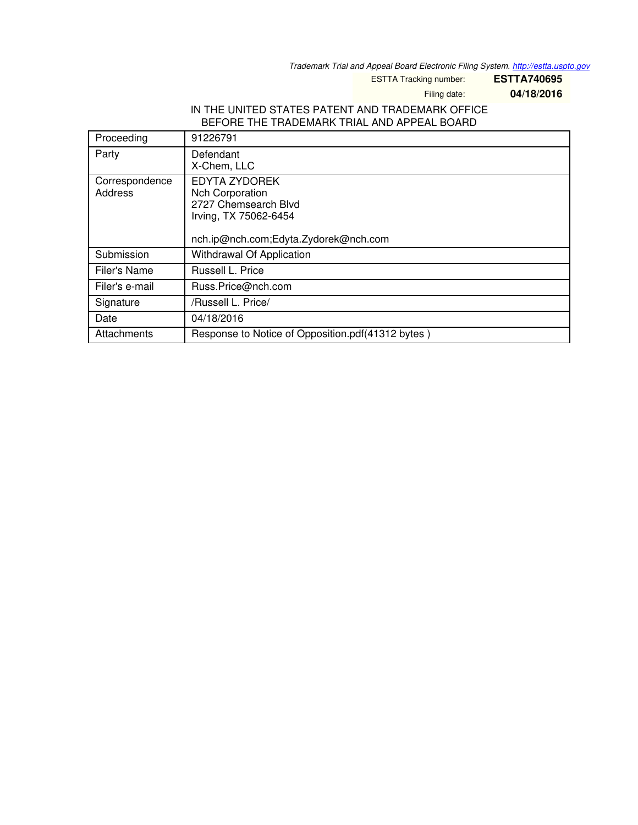*Trademark Trial and Appeal Board Electronic Filing System. <http://estta.uspto.gov>*

ESTTA Tracking number: **ESTTA740695**

Filing date: **04/18/2016**

## IN THE UNITED STATES PATENT AND TRADEMARK OFFICE BEFORE THE TRADEMARK TRIAL AND APPEAL BOARD

| Proceeding                | 91226791                                                                                                                         |
|---------------------------|----------------------------------------------------------------------------------------------------------------------------------|
| Party                     | Defendant<br>X-Chem, LLC                                                                                                         |
| Correspondence<br>Address | EDYTA ZYDOREK<br><b>Nch Corporation</b><br>2727 Chemsearch Blvd<br>Irving, TX 75062-6454<br>nch.ip@nch.com;Edyta.Zydorek@nch.com |
| Submission                | Withdrawal Of Application                                                                                                        |
| Filer's Name              | Russell L. Price                                                                                                                 |
| Filer's e-mail            | Russ.Price@nch.com                                                                                                               |
| Signature                 | /Russell L. Price/                                                                                                               |
| Date                      | 04/18/2016                                                                                                                       |
| Attachments               | Response to Notice of Opposition.pdf(41312 bytes)                                                                                |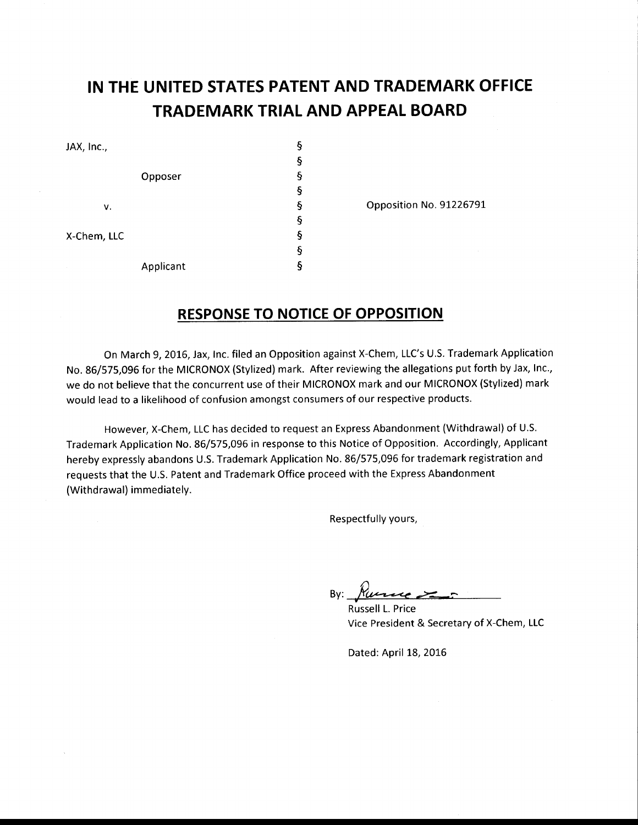## IN THE UNITED STATES PATENT AND TRADEMARK OFFICE TRADEMARK TRIAL AND APPEAL BOARD

| JAX, Inc.,  |           | §    |
|-------------|-----------|------|
|             |           | ş    |
|             | Opposer   | $\S$ |
|             |           | ş    |
| v.          |           | ş    |
|             |           | ş    |
| X-Chem, LLC |           | ş    |
|             |           | ş    |
| $\sim$      | Applicant | ş    |

Opposition No. 91226791

## RESPONSE TO NOTICE OF OPPOSITION

On March 9, 2016, Jax, Inc. filed an Opposition against X-Chem, LLC's U.S. Trademark Application No. 86/575,096 for the MICRONOX (Stylized) mark. After reviewing the allegations put forth by Jax, Inc., we do not believe that the concurrent use of their MICRONOX mark and our MICRONOX (Stylized) mark would lead to a likelihood of confusion amongst consumers of our respective products.

However, X-Chem, LLC has decided to request an Express Abandonment (Withdrawal) of U.S. Trademark Application No. 86/575,096 in response to this Notice of Opposition. Accordingly, Applicant hereby expressly abandons U.S. Trademark Application No. 86/575,096 for trademark registration and requests that the U.S. Patent and Trademark Office proceed with the Express Abandonment (Withdrawal) immediately.

Respectfully yours,

By: Runne

Russell L. Price Vice President & Secretary of X-Chem, LLC

Dated: April 18, 2016